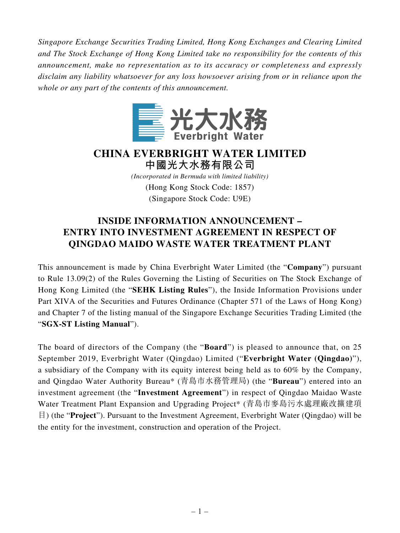*Singapore Exchange Securities Trading Limited, Hong Kong Exchanges and Clearing Limited and The Stock Exchange of Hong Kong Limited take no responsibility for the contents of this announcement, make no representation as to its accuracy or completeness and expressly disclaim any liability whatsoever for any loss howsoever arising from or in reliance upon the whole or any part of the contents of this announcement.*



**CHINA EVERBRIGHT WATER LIMITED 中國光大水務有限公司** *(Incorporated in Bermuda with limited liability)*

(Hong Kong Stock Code: 1857) (Singapore Stock Code: U9E)

## **INSIDE INFORMATION ANNOUNCEMENT – ENTRY INTO INVESTMENT AGREEMENT IN RESPECT OF QINGDAO MAIDO WASTE WATER TREATMENT PLANT**

This announcement is made by China Everbright Water Limited (the "**Company**") pursuant to Rule 13.09(2) of the Rules Governing the Listing of Securities on The Stock Exchange of Hong Kong Limited (the "**SEHK Listing Rules**"), the Inside Information Provisions under Part XIVA of the Securities and Futures Ordinance (Chapter 571 of the Laws of Hong Kong) and Chapter 7 of the listing manual of the Singapore Exchange Securities Trading Limited (the "**SGX-ST Listing Manual**").

The board of directors of the Company (the "**Board**") is pleased to announce that, on 25 September 2019, Everbright Water (Qingdao) Limited ("**Everbright Water (Qingdao)**"), a subsidiary of the Company with its equity interest being held as to 60% by the Company, and Qingdao Water Authority Bureau\* (青島市水務管理局) (the "**Bureau**") entered into an investment agreement (the "**Investment Agreement**") in respect of Qingdao Maidao Waste Water Treatment Plant Expansion and Upgrading Project\* (青島市麥島污水處理廠改擴建項 目) (the "**Project**"). Pursuant to the Investment Agreement, Everbright Water (Qingdao) will be the entity for the investment, construction and operation of the Project.